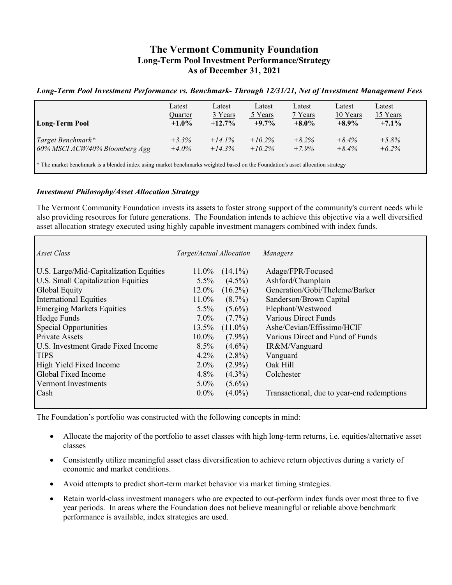# **The Vermont Community Foundation Long-Term Pool Investment Performance/Strategy As of December 31, 2021**

## *Long-Term Pool Investment Performance vs. Benchmark- Through 12/31/21, Net of Investment Management Fees*

| <b>Long-Term Pool</b>                                                                                                                     | Latest   | Latest    | Latest    | Latest   | Latest   | Latest   |  |
|-------------------------------------------------------------------------------------------------------------------------------------------|----------|-----------|-----------|----------|----------|----------|--|
|                                                                                                                                           | Quarter  | 3 Years   | 5 Years   | 7 Years  | 10 Years | 15 Years |  |
|                                                                                                                                           | $+1.0\%$ | $+12.7\%$ | $+9.7\%$  | $+8.0\%$ | $+8.9\%$ | $+7.1\%$ |  |
| Target Benchmark*                                                                                                                         | $+3.3%$  | $+14.1%$  | $+10.2\%$ | $+8.2\%$ | $+8.4\%$ | $+5.8%$  |  |
| 60% MSCI ACW/40% Bloomberg Agg                                                                                                            | $+4.0\%$ | $+14.3%$  | $+10.2\%$ | $+7.9\%$ | $+8.4\%$ | $+6.2\%$ |  |
| <sup>*</sup> The market benchmark is a blended index using market benchmarks weighted based on the Foundation's asset allocation strategy |          |           |           |          |          |          |  |

#### *Investment Philosophy/Asset Allocation Strategy*

The Vermont Community Foundation invests its assets to foster strong support of the community's current needs while also providing resources for future generations. The Foundation intends to achieve this objective via a well diversified asset allocation strategy executed using highly capable investment managers combined with index funds.

| Asset Class                            | Target/Actual Allocation |            | Managers                                   |
|----------------------------------------|--------------------------|------------|--------------------------------------------|
| U.S. Large/Mid-Capitalization Equities | 11.0%                    | $(14.1\%)$ | Adage/FPR/Focused                          |
| U.S. Small Capitalization Equities     | $5.5\%$                  | $(4.5\%)$  | Ashford/Champlain                          |
| Global Equity                          | $12.0\%$                 | $(16.2\%)$ | Generation/Gobi/Theleme/Barker             |
| <b>International Equities</b>          | $11.0\%$                 | $(8.7\%)$  | Sanderson/Brown Capital                    |
| <b>Emerging Markets Equities</b>       | $5.5\%$                  | $(5.6\%)$  | Elephant/Westwood                          |
| Hedge Funds                            | $7.0\%$                  | $(7.7\%)$  | <b>Various Direct Funds</b>                |
| Special Opportunities                  | 13.5%                    | $(11.0\%)$ | Ashe/Cevian/Effissimo/HCIF                 |
| <b>Private Assets</b>                  | 10.0%                    | $(7.9\%)$  | Various Direct and Fund of Funds           |
| U.S. Investment Grade Fixed Income     | $8.5\%$                  | $(4.6\%)$  | IR&M/Vanguard                              |
| <b>TIPS</b>                            | 4.2%                     | $(2.8\%)$  | Vanguard                                   |
| High Yield Fixed Income                | $2.0\%$                  | $(2.9\%)$  | Oak Hill                                   |
| Global Fixed Income                    | $4.8\%$                  | $(4.3\%)$  | Colchester                                 |
| Vermont Investments                    | $5.0\%$                  | $(5.6\%)$  |                                            |
| Cash                                   | $0.0\%$                  | $(4.0\%)$  | Transactional, due to year-end redemptions |
|                                        |                          |            |                                            |

The Foundation's portfolio was constructed with the following concepts in mind:

- Allocate the majority of the portfolio to asset classes with high long-term returns, i.e. equities/alternative asset classes
- Consistently utilize meaningful asset class diversification to achieve return objectives during a variety of economic and market conditions.
- Avoid attempts to predict short-term market behavior via market timing strategies.
- Retain world-class investment managers who are expected to out-perform index funds over most three to five year periods. In areas where the Foundation does not believe meaningful or reliable above benchmark performance is available, index strategies are used.